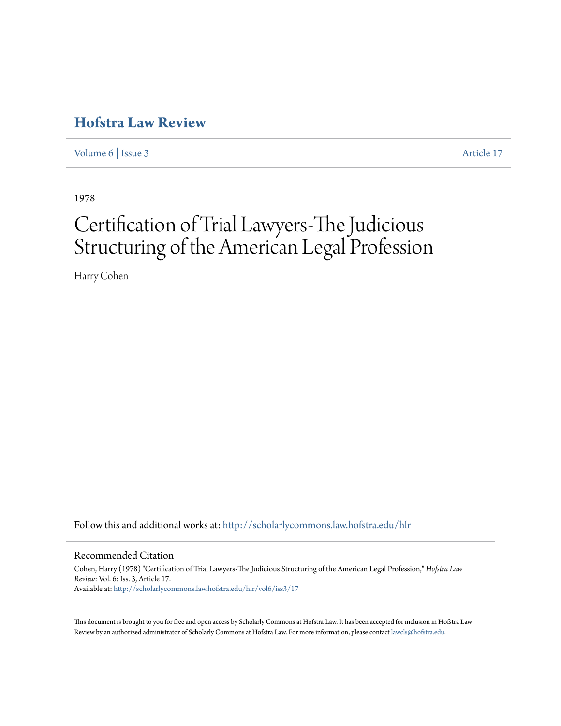## **[Hofstra Law Review](http://scholarlycommons.law.hofstra.edu/hlr?utm_source=scholarlycommons.law.hofstra.edu%2Fhlr%2Fvol6%2Fiss3%2F17&utm_medium=PDF&utm_campaign=PDFCoverPages)**

[Volume 6](http://scholarlycommons.law.hofstra.edu/hlr/vol6?utm_source=scholarlycommons.law.hofstra.edu%2Fhlr%2Fvol6%2Fiss3%2F17&utm_medium=PDF&utm_campaign=PDFCoverPages) | [Issue 3](http://scholarlycommons.law.hofstra.edu/hlr/vol6/iss3?utm_source=scholarlycommons.law.hofstra.edu%2Fhlr%2Fvol6%2Fiss3%2F17&utm_medium=PDF&utm_campaign=PDFCoverPages) [Article 17](http://scholarlycommons.law.hofstra.edu/hlr/vol6/iss3/17?utm_source=scholarlycommons.law.hofstra.edu%2Fhlr%2Fvol6%2Fiss3%2F17&utm_medium=PDF&utm_campaign=PDFCoverPages)

1978

# Certification of Trial Lawyers-The Judicious Structuring of the American Legal Profession

Harry Cohen

Follow this and additional works at: [http://scholarlycommons.law.hofstra.edu/hlr](http://scholarlycommons.law.hofstra.edu/hlr?utm_source=scholarlycommons.law.hofstra.edu%2Fhlr%2Fvol6%2Fiss3%2F17&utm_medium=PDF&utm_campaign=PDFCoverPages)

#### Recommended Citation

Cohen, Harry (1978) "Certification of Trial Lawyers-The Judicious Structuring of the American Legal Profession," *Hofstra Law Review*: Vol. 6: Iss. 3, Article 17. Available at: [http://scholarlycommons.law.hofstra.edu/hlr/vol6/iss3/17](http://scholarlycommons.law.hofstra.edu/hlr/vol6/iss3/17?utm_source=scholarlycommons.law.hofstra.edu%2Fhlr%2Fvol6%2Fiss3%2F17&utm_medium=PDF&utm_campaign=PDFCoverPages)

This document is brought to you for free and open access by Scholarly Commons at Hofstra Law. It has been accepted for inclusion in Hofstra Law Review by an authorized administrator of Scholarly Commons at Hofstra Law. For more information, please contact [lawcls@hofstra.edu](mailto:lawcls@hofstra.edu).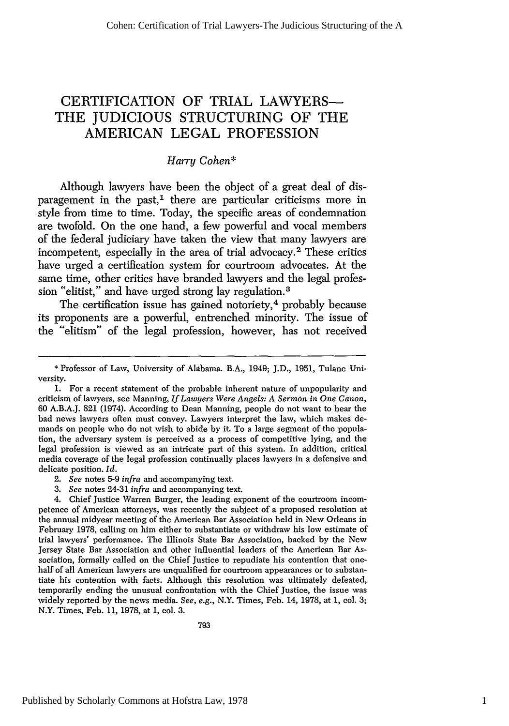## CERTIFICATION OF TRIAL LAWYERS-THE **JUDICIOUS** STRUCTURING OF THE AMERICAN **LEGAL PROFESSION**

### *Harry Cohen\**

Although lawyers have been the object of a great deal of disparagement in the past,<sup>1</sup> there are particular criticisms more in style from time to time. Today, the specific areas of condemnation are twofold. On the one hand, a few powerful and vocal members of the federal judiciary have taken the view that many lawyers are incompetent, especially in the area of trial advocacy.<sup>2</sup> These critics have urged a certification system for courtroom advocates. At the same time, other critics have branded lawyers and the legal profession "elitist," and have urged strong lay regulation. <sup>3</sup>

The certification issue has gained notoriety,<sup>4</sup> probably because its proponents are a powerful, entrenched minority. The issue of the "elitism" of the legal profession, however, has not received

- 2. *See* notes **5-9** *infra* and accompanying text.
- *3. See* notes 24-31 *infra* and accompanying text.

4. Chief Justice Warren Burger, the leading exponent of the courtroom incompetence of American attorneys, was recently the subject of a proposed resolution at the annual midyear meeting of the American Bar Association held in New Orleans in February **1978,** calling on him either to substantiate or withdraw his low estimate of trial lawyers' performance. The Illinois State Bar Association, backed **by** the New Jersey State Bar Association and other influential leaders of the American Bar Association, formally called on the Chief Justice to repudiate his contention that onehalf of all American lawyers are unqualified for courtroom appearances or to substantiate his contention with facts. Although this resolution was ultimately defeated, temporarily ending the unusual confrontation with the Chief Justice, the issue was widely reported **by** the news media. *See,* e.g., N.Y. Times, Feb. 14, **1978,** at **1,** col. **3;** N.Y. Times, Feb. **11, 1978,** at **1,** col. **3.**

<sup>\*</sup> Professor of Law, University of Alabama. B.A., 1949; J.D., 1951, Tulane University.

**<sup>1.</sup>** For a recent statement of the probable inherent nature of unpopularity and criticism of lawyers, see Manning, *If Lawyers Were Angels: A Sermon in One Canon,* **60 A.B.A.J. 821** (1974). According to Dean Manning, people do not want to hear the bad news lawyers often must convey. Lawyers interpret the law, which makes demands on people who do not wish to abide **by** it. To a large segment of the population, the adversary system is perceived as a process of competitive lying, and the legal profession is viewed as an intricate part of this system. In addition, critical media coverage of the legal profession continually places lawyers in a defensive and delicate position. *Id.*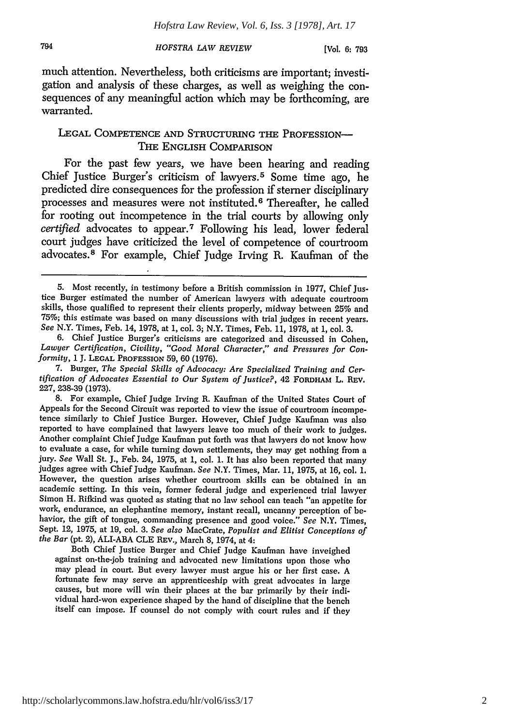794

*HOFSTRA LAW REVIEW*

**[Vol. 6: 793**

much attention. Nevertheless, both criticisms are important; investigation and analysis of these charges, as well as weighing the consequences of any meaningful action which may be forthcoming, are warranted.

#### LEGAL COMPETENCE AND STRUCTURING THE PROFESSION-THE ENGLISH COMPARISON

For the past few years, we have been hearing and reading Chief Justice Burger's criticism of lawyers. 5 Some time ago, he predicted dire consequences for the profession if sterner disciplinary processes and measures were not instituted.6 Thereafter, he called for rooting out incompetence in the trial courts by allowing only *certified* advocates to appear. 7 Following his lead, lower federal court judges have criticized the level of competence of courtroom advocates." For example, Chief Judge Irving R. Kaufman of the

Both Chief Justice Burger and Chief Judge Kaufman have inveighed against on-the-job training and advocated new limitations upon those who may plead in court. But every lawyer must argue his or her first case. A fortunate few may serve an apprenticeship with great advocates in large causes, but more will win their places at the bar primarily by their individual hard-won experience shaped by the hand of discipline that the bench itself can impose. If counsel do not comply with court rules and if they

<sup>5.</sup> Most recently, in testimony before a British commission in 1977, Chief Justice Burger estimated the number of American lawyers with adequate courtroom skills, those qualified to represent their clients properly, midway between 25% and 75%; this estimate was based on many discussions with trial judges in recent years. *See* N.Y. Times, Feb. 14, 1978, at 1, col. 3; N.Y. Times, Feb. 11, 1978, at 1, col. 3.

<sup>6.</sup> Chief Justice Burger's criticisms are categorized and discussed in Cohen, *Lawyer Certification, Civility, "Good Moral Character," and Pressures for Conformity,* 1 **J. LEGAL PROFESSION** 59, 60 (1976).

<sup>7.</sup> Burger, *The Special Skills of Advocacy: Are Specialized Training and Certification of Advocates Essential to Our System of Justice?,* 42 FORDHAM L. REV. 227, 238-39 (1973).

<sup>8.</sup> For example, Chief Judge Irving R. Kaufman of the United States Court of Appeals for the Second Circuit was reported to view the issue of courtroom incompetence similarly to Chief Justice Burger. However, Chief Judge Kaufman was also reported to have complained that lawyers leave too much of their work to judges. Another complaint Chief Judge Kaufman put forth was that lawyers do not know how to evaluate a case, for while turning down settlements, they may get nothing from a<br>jury. See Wall St. J., Feb. 24, 1975, at 1, col. 1. It has also been reported that many<br>judges agree with Chief Judge Kaufman. See N.Y. Ti However, the question arises whether courtroom skills can be obtained in an academic setting. In this vein, former federal judge and experienced trial lawyer Simon H. Rifkind was quoted as stating that no law school can teach "an appetite for work, endurance, an elephantine memory, instant recall, uncanny perception of behavior, the gift of tongue, commanding presence and good voice." *See* N.Y. Times, Sept. 12, 1975, at 19, col. 3. *See also* MacCrate, *Populist and Elitist Conceptions of the Bar* (pt. 2), ALI-ABA CLE REV., March 8, 1974, at 4: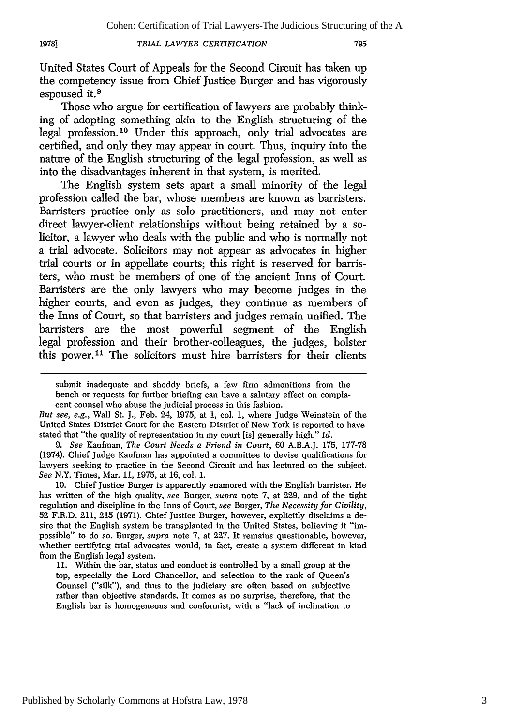#### *TRIAL LAWYER CERTIFICATION*

**19781**

United States Court of Appeals for the Second Circuit has taken up the competency issue from Chief Justice Burger and has vigorously espoused it.<sup>9</sup>

Those who argue for certification of lawyers are probably thinking of adopting something akin to the English structuring of the legal profession. 10 Under this approach, only trial advocates are certified, and only they may appear in court. Thus, inquiry into the nature of the English structuring of the legal profession, as well as into the disadvantages inherent in that system, is merited.

The English system sets apart a small minority of the legal profession called the bar, whose members are known as barristers. Barristers practice only as solo practitioners, and may not enter direct lawyer-client relationships without being retained by a solicitor, a lawyer who deals with the public and who is normally not a trial advocate. Solicitors may not appear as advocates in higher trial courts or in appellate courts; this right is reserved for barristers, who must be members of one of the ancient Inns of Court. Barristers are the only lawyers who may become judges in the higher courts, and even as judges, they continue as members of the Inns of Court, so that barristers and judges remain unified. The barristers are the most powerful segment of the English legal profession and their brother-colleagues, the judges, bolster this power.<sup>11</sup> The solicitors must hire barristers for their clients

*9. See* Kaufman, *The Court Needs a Friend in Court,* 60 A.B.A.J. 175, 177-78 (1974). Chief Judge Kaufman has appointed a committee to devise qualifications for lawyers seeking to practice in the Second Circuit and has lectured on the subject. *See* N.Y. Times, Mar. 11, 1975, at 16, col. **1.**

10. Chief Justice Burger is apparently enamored with the English barrister. He has written of the high quality, *see* Burger, *supra* note 7, at 229, and of the tight regulation and discipline in the Inns of Court, *see* Burger, *The Necessity for Civility,* 52 F.R.D. 211, 215 (1971). Chief Justice Burger, however, explicitly disclaims a desire that the English system be transplanted in the United States, believing it "impossible" to do so. Burger, *supra* note 7, at 227. It remains questionable, however, whether certifying trial advocates would, in fact, create a system different in kind from the English legal system.

11. Within the bar, status and conduct is controlled by a small group at the top, especially the Lord Chancellor, and selection to the rank of Queen's Counsel ("silk"), and thus to the judiciary are often based on subjective rather than objective standards. It comes as no surprise, therefore, that the English bar is homogeneous and conformist, with a "lack of inclination to

submit inadequate and shoddy briefs, a few firm admonitions from the bench or requests for further briefing can have a salutary effect on complacent counsel who abuse the judicial process in this fashion.

*But see, e.g.,* Wall St. J., Feb. 24, 1975, at 1, col. 1, where Judge Weinstein of the United States District Court for the Eastern District of New York is reported to have stated that "the quality of representation in my court [is] generally high." *Id.*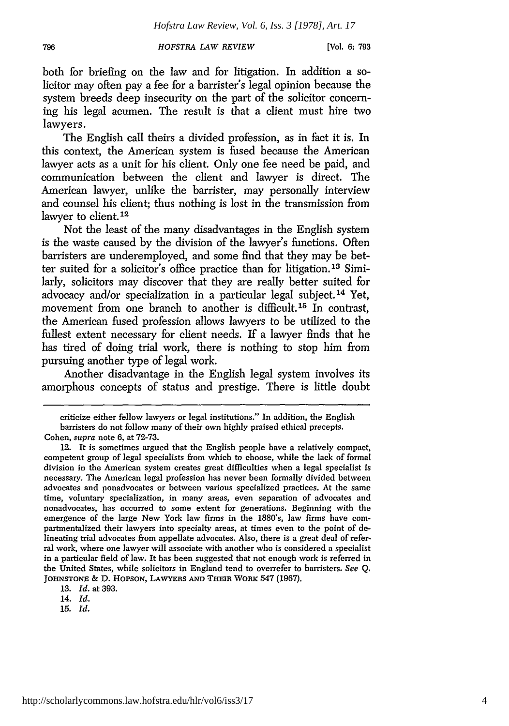**[Vol. 6: 793**

both for briefing on the law and for litigation. In addition a solicitor may often pay a fee for a barrister's legal opinion because the system breeds deep insecurity on the part of the solicitor concerning his legal acumen. The result is that a client must hire two lawyers.

The English call theirs a divided profession, as in fact it is. In this context, the American system is fused because the American lawyer acts as a unit for his client. Only one fee need be paid, and communication between the client and lawyer is direct. The American lawyer, unlike the barrister, may personally interview and counsel his client; thus nothing is lost in the transmission from lawyer to client. **12**

Not the least of the many disadvantages in the English system is the waste caused by the division of the lawyer's functions. Often barristers are underemployed, and some find that they may be better suited for a solicitor's office practice than for litigation. 13 Similarly, solicitors may discover that they are really better suited for advocacy and/or specialization in a particular legal subject. 14 Yet, movement from one branch to another is difficult.<sup>15</sup> In contrast, the American fused profession allows lawyers to be utilized to the fullest extent necessary for client needs. If a lawyer finds that he has tired of doing trial work, there is nothing to stop him from pursuing another type of legal work.

Another disadvantage in the English legal system involves its amorphous concepts of status and prestige. There is little doubt

*13. Id.* at 393.

criticize either fellow lawyers or legal institutions." In addition, the English barristers do not follow many of their own highly praised ethical precepts. Cohen, supra note 6, at 72-73.

<sup>12.</sup> It is sometimes argued that the English people have a relatively compact, competent group of legal specialists from which to choose, while the lack of formal division in the American system creates great difficulties when a legal specialist is necessary. The American legal profession has never been formally divided between advocates and nonadvocates or between various specialized practices. At the same time, voluntary specialization, in many areas, even separation of advocates and nonadvocates, has occurred to some extent for generations. Beginning with the emergence of the large New York law firms in the 1880's, law firms have compartmentalized their lawyers into specialty areas, at times even to the point of delineating trial advocates from appellate advocates. Also, there is a great deal of referral work, where one lawyer will associate with another who is considered a specialist in a particular field of law. It has been suggested that not enough work is referred in the United States, while solicitors in England tend to overrefer to barristers. *See* Q. JOHNSTONE **&** D. HopsoN, **LAWYERS AND THEIR** WORK 547 (1967).

<sup>14.</sup> *Id.*

**<sup>15.</sup>** *Id.*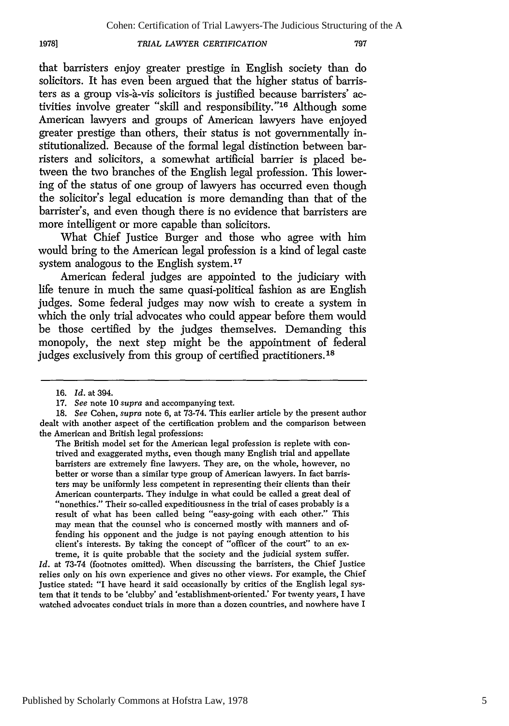#### *TRIAL LAWYER CERTIFICATION*

that barristers enjoy greater prestige in English society than do solicitors. It has even been argued that the higher status of barristers as a group vis-a-vis solicitors is justified because barristers' activities involve greater "skill and responsibility."<sup>16</sup> Although some American lawyers and groups of American lawyers have enjoyed greater prestige than others, their status is not governmentally institutionalized. Because of the formal legal distinction between barristers and solicitors, a somewhat artificial barrier is placed between the two branches of the English legal profession. This lowering of the status of one group of lawyers has occurred even though the solicitor's legal education is more demanding than that of the barrister's, and even though there is no evidence that barristers are more intelligent or more capable than solicitors.

What Chief Justice Burger and those who agree with him would bring to the American legal profession is a kind of legal caste system analogous to the English system.<sup>17</sup>

American federal judges are appointed to the judiciary with life tenure in much the same quasi-political fashion as are English judges. Some federal judges may now wish to create a system in which the only trial advocates who could appear before them would be those certified by the judges themselves. Demanding this monopoly, the next step might be the appointment of federal judges exclusively from this group of certified practitioners. **<sup>18</sup>**

**1978]**

The British model set for the American legal profession is replete with contrived and exaggerated myths, even though many English trial and appellate barristers are extremely fine lawyers. They are, on the whole, however, no better or worse than a similar type group of American lawyers. In fact barristers may be uniformly less competent in representing their clients than their American counterparts. They indulge in what could be called a great deal of "nonethics." Their so-called expeditiousness in the trial of cases probably is a result of what has been called being "easy-going with each other." This may mean that the counsel who is concerned mostly with manners and offending his opponent and the judge is not paying enough attention to his client's interests. By taking the concept of "officer of the court" to an extreme, it is quite probable that the society and the judicial system suffer.

*Id.* at 73-74 (footnotes omitted). When discussing the barristers, the Chief Justice relies only on his own experience and gives no other views. For example, the Chief Justice stated: "I have heard it said occasionally by critics of the English legal system that it tends to be 'clubby' and 'establishment-oriented.' For twenty years, I have watched advocates conduct trials in more than a dozen countries, and nowhere have I

<sup>16.</sup> *Id.* at 394.

<sup>17.</sup> *See* note 10 *supra* and accompanying text.

<sup>18.</sup> *See* Cohen, supra note 6, at 73-74. This earlier article by the present author dealt with another aspect of the certification problem and the comparison between the American and British legal professions: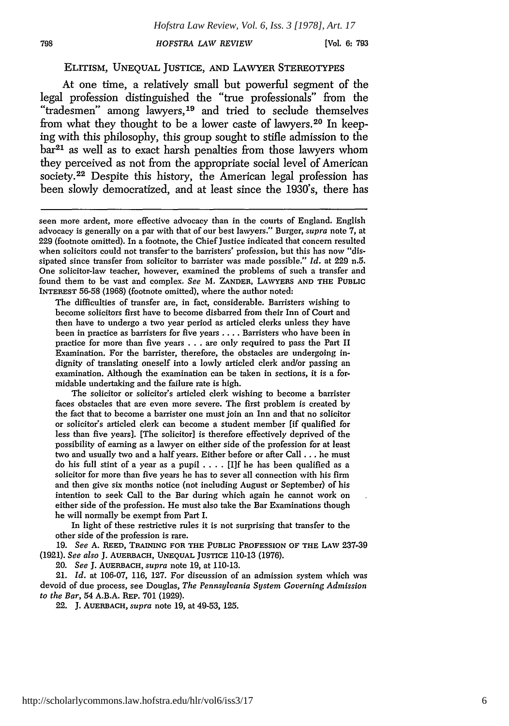[Vol. **6: 793**

#### ELITISM, UNEQUAL JUSTICE, AND LAWYER STEREOTYPES

At one time, a relatively small but powerful segment of the legal profession distinguished the "true professionals" from the "tradesmen" among lawyers, 19 and tried to seclude themselves from what they thought to be a lower caste of lawyers. 20 In keeping with this philosophy, this group sought to stifle admission to the  $bar<sup>21</sup>$  as well as to exact harsh penalties from those lawyers whom they perceived as not from the appropriate social level of American society.<sup>22</sup> Despite this history, the American legal profession has been slowly democratized, and at least since the 1930's, there has

The difficulties of transfer are, in fact, considerable. Barristers wishing to become solicitors first have to become disbarred from their Inn of Court and then have to undergo a two year period as articled clerks unless they have been in practice as barristers for five years .... Barristers who have been in practice for more than five years . . . are only required to pass the Part II Examination. For the barrister, therefore, the obstacles are undergoing indignity of translating oneself into a lowly articled clerk and/or passing an examination. Although the examination can be taken in sections, it is a formidable undertaking and the failure rate is high.

The solicitor or solicitor's articled clerk wishing to become a barrister faces obstacles that are even more severe. The first problem is created **by** the fact that to become a barrister one must join an Inn and that no solicitor or solicitor's articled clerk can become a student member [if qualified for less than five years]. [The solicitor] is therefore effectively deprived of the possibility of earning as a lawyer on either side of the profession for at least two and usually two and a half years. Either before or after Call **...** he must do his full stint of a year as a pupil .**. .** . [I]f he has been qualified as a solicitor for more than five years he has to sever all connection with his firm and then give six months notice (not including August or September) of his intention to seek Call to the Bar during which again he cannot work on either side of the profession. He must also take the Bar Examinations though he will normally be exempt from Part I.

In light of these restrictive rules **it** is not surprising that transfer to the other side of the profession is rare.

19. *See* A. REED, TRAINING **FOR THE PUBLIC PROFESSION** OF **THE LAW** 237-39 (1921). *See also* J. **AUERBACH, UNEQUAL JUSTICE** 110-13 (1976).

20. *See* J. **AUERBACH,** *supra* note 19, at 110-13.

21. *Id.* at 106-07, 116, 127. For discussion of an admission system which **was** devoid of due process, see Douglas, *The Pennsylvania System Governing Admission to the Bar,* 54 A.B.A. **REP.** 701 (1929).

22. J. **AUERBACH,** *supra* note 19, at 49-53, 125.

seen more ardent, more effective advocacy than in the courts of England. English advocacy is generally on a par with that of our best lawyers." Burger, supra note 7, at 229 (footnote omitted). In a footnote, the Chief Justice indicated that concern resulted when solicitors could not transfer to the barristers' profession, but this has now "dissipated since transfer from solicitor to barrister was made possible." *Id.* at 229 n.5. One solicitor-law teacher, however, examined the problems of such a transfer and found them to be vast and complex. *See* M. **ZANDER, LAWYERS AND THE PUBLIC INTEREST** 56-58 (1968) (footnote omitted), where the author noted: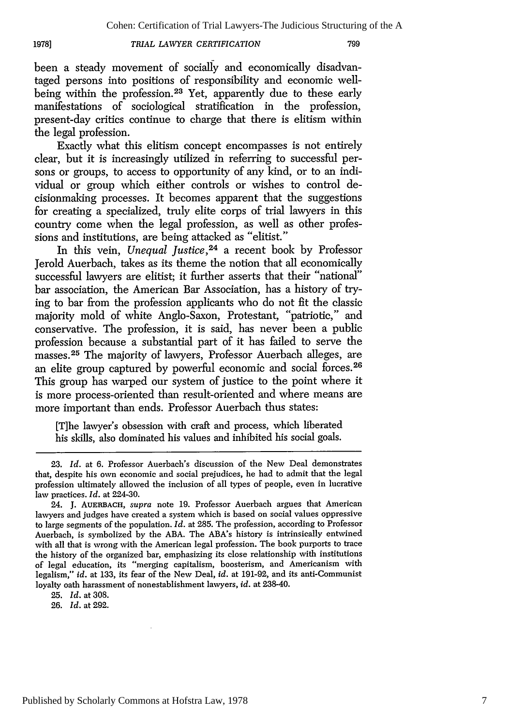#### *TRIAL LAWYER CERTIFICATION*

**19781**

been a steady movement of socially and economically disadvantaged persons into positions of responsibility and economic wellbeing within the profession.<sup>23</sup> Yet, apparently due to these early manifestations of sociological stratification in the profession, present-day critics continue to charge that there is elitism within the legal profession.

Exactly what this elitism concept encompasses is not entirely clear, but it is increasingly utilized in referring to successful persons or groups, to access to opportunity of any kind, or to an individual or group which either controls or wishes to control decisionmaking processes. It becomes apparent that the suggestions for creating a specialized, truly elite corps of trial lawyers in this country come when the legal profession, as well as other professions and institutions, are being attacked as "elitist."

In this vein, *Unequal Justice,24* a recent book by Professor Jerold Auerbach, takes as its theme the notion that all economically successful lawyers are elitist; it further asserts that their "national" bar association, the American Bar Association, has a history of trying to bar from the profession applicants who do not fit the classic majority mold of white Anglo-Saxon, Protestant, "patriotic," and conservative. The profession, it is said, has never been a public profession because a substantial part of it has failed to serve the masses.<sup>25</sup> The majority of lawyers, Professor Auerbach alleges, are an elite group captured by powerful economic and social forces.<sup>26</sup> This group has warped our system of justice to the point where it is more process-oriented than result-oriented and where means are more important than ends. Professor Auerbach thus states:

[T]he lawyer's obsession with craft and process, which liberated his skills, also dominated his values and inhibited his social goals.

25. *Id.* at 308.

26. *Id.* at 292.

<sup>23.</sup> *Id.* at 6. Professor Auerbach's discussion of the New Deal demonstrates that, despite his own economic and social prejudices, he had to admit that the legal profession ultimately allowed the inclusion of all types of people, even in lucrative law practices. *Id.* at 224-30.

<sup>24.</sup> J. **AUERBACH,** supra note 19. Professor Auerbach argues that American lawyers and judges have created a system which is based on social values oppressive to large segments of the population. *Id.* at 285. The profession, according to Professor Auerbach, is symbolized by the ABA. The ABA's history is intrinsically entwined with all that is wrong with the American legal profession. The book purports to trace the history of the organized bar, emphasizing its close relationship with institutions of legal education, its "merging capitalism, boosterism, and Americanism with legalism," *id.* at 133, its fear of the New Deal, *id.* at 191-92, and its anti-Communist loyalty oath harassment of nonestablishment lawyers, *id.* at 238-40.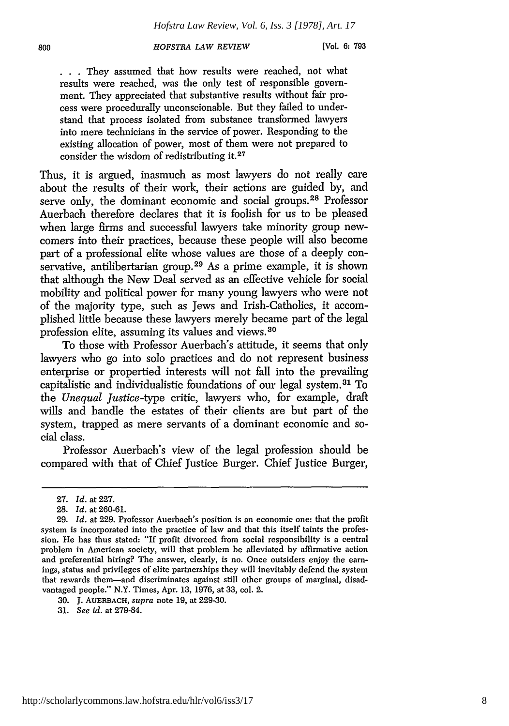**. . .** They assumed that how results were reached, not what results were reached, was the only test of responsible government. They appreciated that substantive results without fair process were procedurally unconscionable. But they failed to understand that process isolated from substance transformed lawyers into mere technicians in the service of power. Responding to the existing allocation of power, most of them were not prepared to consider the wisdom of redistributing it.<sup>27</sup>

Thus, it is argued, inasmuch as most lawyers do not really care about the results of their work, their actions are guided by, and serve only, the dominant economic and social groups.<sup>28</sup> Professor Auerbach therefore declares that it is foolish for us to be pleased when large firms and successful lawyers take minority group newcomers into their practices, because these people will also become part of a professional elite whose values are those of a deeply conservative, antilibertarian group.<sup>29</sup> As a prime example, it is shown that although the New Deal served as an effective vehicle for social mobility and political power for many young lawyers who were not of the majority type, such as Jews and Irish-Catholics, it accomplished little because these lawyers merely became part of the legal profession elite, assuming its values and views. <sup>30</sup>

To those with Professor Auerbach's attitude, it seems that only lawyers who go into solo practices and do not represent business enterprise or propertied interests will not fall into the prevailing capitalistic and individualistic foundations of our legal system. 31 To the *Unequal Justice-type* critic, lawyers who, for example, draft wills and handle the estates of their clients are but part of the system, trapped as mere servants of a dominant economic and social class.

Professor Auerbach's view of the legal profession should be compared with that of Chief Justice Burger. Chief Justice Burger,

<sup>27.</sup> *Id.* at 227.

<sup>28.</sup> *Id.* at 260-61.

<sup>29.</sup> *Id.* at 229. Professor Auerbach's position is an economic one: that the profit system is incorporated into the practice of law and that this itself taints the profession. He has thus stated: "If profit divorced from social responsibility is a central problem in American society, will that problem be alleviated by affirmative action and preferential hiring? The answer, clearly, is no. Once outsiders enjoy the earnings, status and privileges of elite partnerships they will inevitably defend the system that rewards them-and discriminates against still other groups of marginal, disadvantaged people." N.Y. Times, Apr. 13, 1976, at 33, col. 2.

<sup>30.</sup> J. AUERBACH, *supra* note 19, at 229-30.

<sup>31.</sup> *See id.* at 279-84.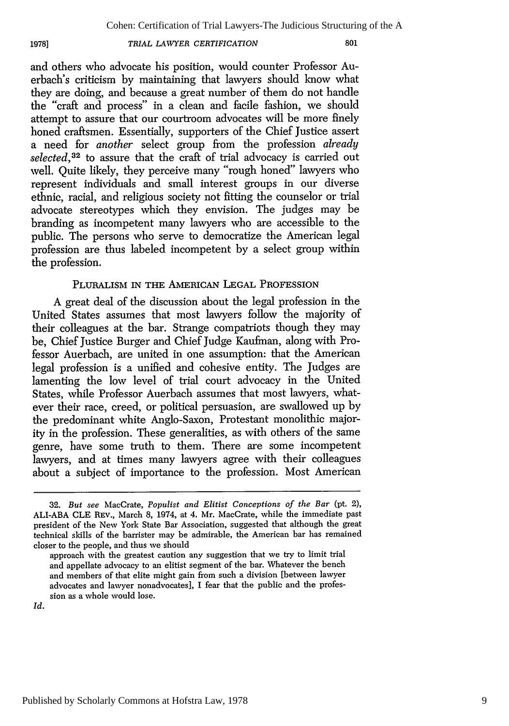#### **19781**

*TRIAL LAWYER CERTIFICATION*

and others who advocate his position, would counter Professor Auerbach's criticism by maintaining that lawyers should know what they are doing, and because a great number of them do not handle the "craft and process" in a clean and facile fashion, we should attempt to assure that our courtroom advocates will be more finely honed craftsmen. Essentially, supporters of the Chief Justice assert a need for *another* select group from the profession *already* selected,<sup>32</sup> to assure that the craft of trial advocacy is carried out well. Quite likely, they perceive many "rough honed" lawyers who represent individuals and small interest groups in our diverse ethnic, racial, and religious society not fitting the counselor or trial advocate stereotypes which they envision. The judges may be branding as incompetent many lawyers who are accessible to the public. The persons who serve to democratize the American legal profession are thus labeled incompetent by a select group within the profession.

#### PLURALISM IN THE AMERICAN LEGAL PROFESSION

A great deal of the discussion about the legal profession in the United States assumes that most lawyers follow the majority of their colleagues at the bar. Strange compatriots though they may be, Chief Justice Burger and Chief Judge Kaufman, along with Professor Auerbach, are united in one assumption: that the American legal profession is a unified and cohesive entity. The Judges are lamenting the low level of trial court advocacy in the United States, while Professor Auerbach assumes that most lawyers, whatever their race, creed, or political persuasion, are swallowed up by the predominant white Anglo-Saxon, Protestant monolithic majority in the profession. These generalities, as with others of the same genre, have some truth to them. There are some incompetent lawyers, and at times many lawyers agree with their colleagues about a subject of importance to the profession. Most American

**<sup>32.</sup>** *But see* MacCrate, *Populist and Elitist Conceptions of the Bar* (pt. 2), ALI-ABA CLE REv., March 8, 1974, at 4. Mr. MacCrate, while the immediate past president of the New York State Bar Association, suggested that although the great technical skills of the barrister may be admirable, the American bar has remained closer to the people, and thus we should

approach with the greatest caution any suggestion that we try to limit trial and appellate advocacy to an elitist segment of the bar. Whatever the bench and members of that elite might gain from such a division [between lawyer advocates and lawyer nonadvocates], I fear that the public and the profession as a whole would lose.

Id.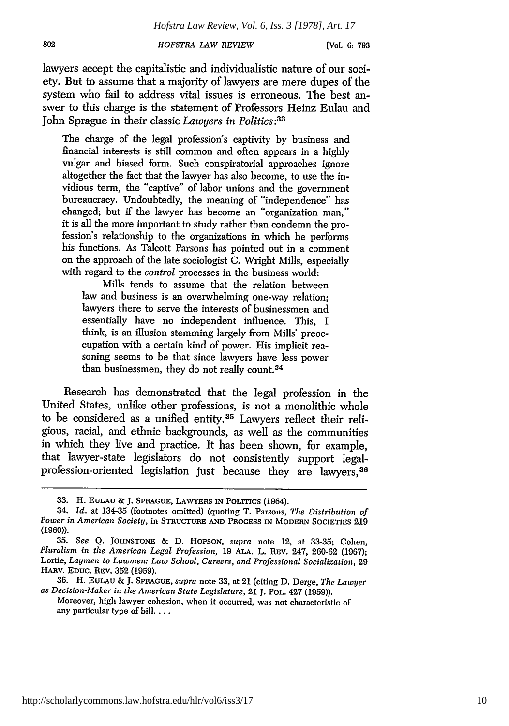**[Vol. 6: 793**

lawyers accept the capitalistic and individualistic nature of our society. But to assume that a majority of lawyers are mere dupes of the system who fail to address vital issues is erroneous. The best answer to this charge is the statement of Professors Heinz Eulau and John Sprague in their classic *Lawyers in Politics:33*

The charge of the legal profession's captivity by business and financial interests is still common and often appears in a highly vulgar and biased form. Such conspiratorial approaches ignore altogether the fact that the lawyer has also become, to use the invidious term, the "captive" of labor unions and the government bureaucracy. Undoubtedly, the meaning of "independence" has changed; but if the lawyer has become an "organization man," it is all the more important to study rather than condemn the profession's relationship to the organizations in which he performs his functions. As Talcott Parsons has pointed out in a comment on the approach of the late sociologist C. Wright Mills, especially with regard to the *control* processes in the business world:

Mills tends to assume that the relation between law and business is an overwhelming one-way relation; lawyers there to serve the interests of businessmen and essentially have no independent influence. This, I think, is an illusion stemming largely from Mills' preoccupation with a certain kind of power. His implicit reasoning seems to be that since lawyers have less power than businessmen, they do not really count.<sup>34</sup>

Research has demonstrated that the legal profession in the United States, unlike other professions, is not a monolithic whole to be considered as a unified entity. 35 Lawyers reflect their religious, racial, and ethnic backgrounds, as well as the communities in which they live and practice. It has been shown, for example, that lawyer-state legislators do not consistently support legalprofession-oriented legislation just because they are lawyers, <sup>38</sup>

**<sup>33.</sup>** H. EULAU & **J.** SPRAGUE, LAWYERS IN **POLITICS** (1964).

<sup>34.</sup> *Id.* at 134-35 (footnotes omitted) (quoting T. Parsons, *The Distribution of Power in American Society,* in STRUCTURE **AND PROCESS IN** MODERN SOCIETIES **219** (1960)).

**<sup>35.</sup>** *See* **Q. JOHNSTONE &** D. HOPSON, *supra* note 12, at 33-35; Cohen, *Pluralism in the American Legal Profession,* 19 ALA. L. REv. 247, 260-62 (1967); Lortie, *Laymen to Lawmen: Law School, Careers, and Professional Socialization,* 29 HARv. **EDUC.** REv. 352 (1959).

<sup>36.</sup> H. EULAU & J. SPRAGUE, *supra* note 33, at 21 (citing D. Derge, *The Lawyer as Decision-Maker in the American State Legislature,* 21 J. POL. 427 (1959)).

Moreover, high lawyer cohesion, when it occurred, was not characteristic of any particular type of bill....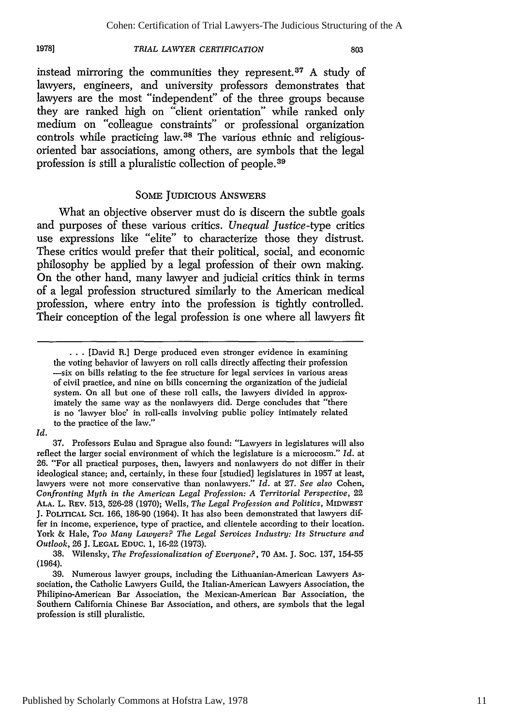#### *TRIAL LAWYER CERTIFICATION* **1978]**

instead mirroring the communities they represent. $37$  A study of lawyers, engineers, and university professors demonstrates that lawyers are the most "independent" of the three groups because they are ranked high on "client orientation" while ranked only medium on "colleague constraints" or professional organization controls while practicing law.<sup>38</sup> The various ethnic and religiousoriented bar associations, among others, are symbols that the legal profession is still a pluralistic collection of people.<sup>39</sup>

#### SOME JuDIcIous ANSWERS

What an objective observer must do is discern the subtle goals and purposes of these various critics. *Unequal Justice-type* critics use expressions like "elite" to characterize those they distrust. These critics would prefer that their political, social, and economic philosophy be applied by a legal profession of their own making. On the other hand, many lawyer and judicial critics think in terms of a legal profession structured similarly to the American medical profession, where entry into the profession is tightly controlled. Their conception of the legal profession is one where all lawyers fit

**<sup>...</sup>** [David R.] Derge produced even stronger evidence in examining the voting behavior of lawyers on roll calls directly affecting their profession -six on bills relating to the fee structure for legal services in various areas of civil practice, and nine on bills concerning the organization of the judicial system. On all but one of these roll calls, the lawyers divided in approximately the same way as the nonlawyers did. Derge concludes that "there is no 'lawyer bloc' in roll-calls involving public policy intimately related to the practice of the law."

*Id.*

<sup>37.</sup> Professors Eulau and Sprague also found: "Lawyers in legislatures will also reflect the larger social environment of which the legislature is a microcosm." *Id.* at **26.** "For all practical purposes, then, lawyers and nonlawyers do not differ in their ideological stance; and, certainly, in these four [studied] legislatures in 1957 at least, lawyers were not more conservative than nonlawyers." *Id.* at **27.** *See also* Cohen, *Confronting Myth in the American Legal Profession: A Territorial Perspective,* 22 **ALA.** L. REV. 513, **526-28** (1970); Wells, *The Legal Profession and Politics,* MIDWEST **J.** POLITICAL **SCI.** 166, 186-90 (1964). It has also been demonstrated that lawyers differ in income, experience, type of practice, and clientele according to their location. York **&** Hale, *Too Many Lawyers? The Legal Services Industry: Its Structure and Outlook,* **26** J. **LEGAL EDUC.** 1, **16-22** (1973).

<sup>38.</sup> Wilensky, *The Professionalization of Everyone?,* 70 **AM.** J. Soc. 137, 154-55 (1964).

<sup>39.</sup> Numerous lawyer groups, including the Lithuanian-American Lawyers Association, the Catholic Lawyers Guild, the Italian-American Lawyers Association, the Philipino-American Bar Association, the Mexican-American Bar Association, the Southern California Chinese Bar Association, and others, are symbols that the legal profession is still pluralistic.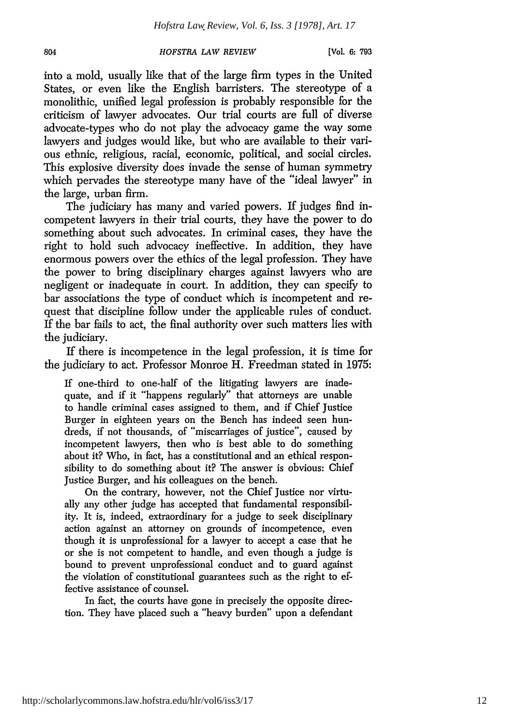[Vol. **6: 793**

into a mold, usually like that of the large firm types in the United States, or even like the English barristers. The stereotype of a monolithic, unified legal profession is probably responsible for the criticism of lawyer advocates. Our trial courts are full of diverse advocate-types who do not play the advocacy game the way some lawyers and judges would like, but who are available to their various ethnic, religious, racial, economic, political, and social circles. This explosive diversity does invade the sense of human symmetry which pervades the stereotype many have of the "ideal lawyer" in the large, urban firm.

The judiciary has many and varied powers. If judges find incompetent lawyers in their trial courts, they have the power to do something about such advocates. In criminal cases, they have the right to hold such advocacy ineffective. In addition, they have enormous powers over the ethics of the legal profession. They have the power to bring disciplinary charges against lawyers who are negligent or inadequate in court. In addition, they can specify to bar associations the type of conduct which is incompetent and request that discipline follow under the applicable rules of conduct. If the bar fails to act, the final authority over such matters lies with the judiciary.

If there is incompetence in the legal profession, it is time for the judiciary to act. Professor Monroe H. Freedman stated in 1975:

If one-third to one-half of the litigating lawyers are inadequate, and if it "happens regularly" that attorneys are unable to handle criminal cases assigned to them, and if Chief Justice Burger in eighteen years on the Bench has indeed seen hundreds, if not thousands, of "miscarriages of justice", caused by incompetent lawyers, then who is best able to do something about it? Who, in fact, has a constitutional and an ethical responsibility to do something about it? The answer is obvious: Chief Justice Burger, and his colleagues on the bench.

On the contrary, however, not the Chief Justice nor virtually any other judge has accepted that fundamental responsibility. It is, indeed, extraordinary for a judge to seek disciplinary action against an attorney on grounds of incompetence, even though it is unprofessional for a lawyer to accept a case that he or she is not competent to handle, and even though a judge is bound to prevent unprofessional conduct and to guard against the violation of constitutional guarantees such as the right to effective assistance of counsel.

In fact, the courts have gone in precisely the opposite direction. They have placed such a "heavy burden" upon a defendant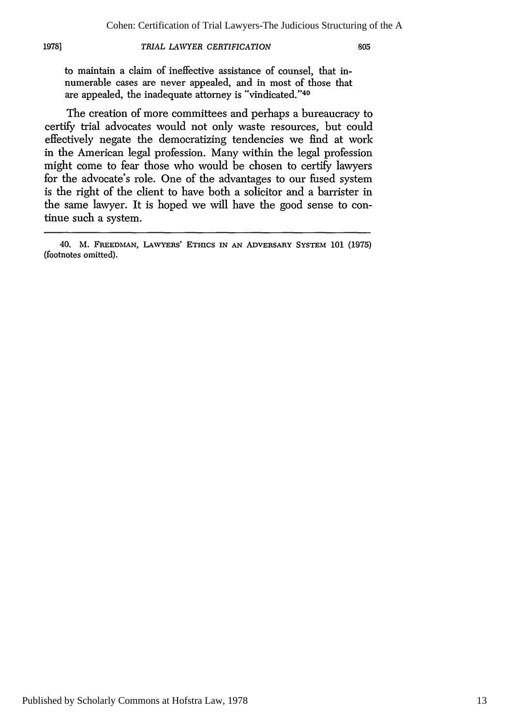#### 1978] *TRIAL LAWYER CERTIFICATION* 805

to maintain a claim of ineffective assistance of counsel, that innumerable cases are never appealed, and in most of those that are appealed, the inadequate attorney is "vindicated."40

The creation of more committees and perhaps a bureaucracy to certify trial advocates would not only waste resources, but could effectively negate the democratizing tendencies we find at work in the American legal profession. Many within the legal profession might come to fear those who would be chosen to certify lawyers for the advocate's role. One of the advantages to our fused system is the right of the client to have both a solicitor and a barrister in the same lawyer. It is hoped we will have the good sense to continue such a system.

<sup>40.</sup> M. **FREEDMAN, LAVYERS' ETHICS IN AN ADVERSARY** SYSTEM **101** (1975) (footnotes omitted).